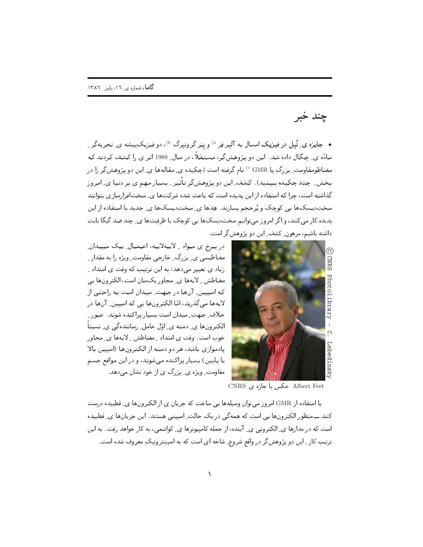چند خبر

• جایزه ی ِ نُبل در فیزیک امسال به آلبر فِر <sup>۵</sup> و پتِر گرونبرگ <sup>b)</sup>، دو فیزیکپیشه ی ِ تجربهگر ِ مادّه ی چگال داده شد. این دو پژوهشگر، مستقلّه، در سال 1988 اثر ی را کشف کردند که مغناطومقاومت ِ بزرگ یا GMR<sup>)</sup> نام گرفته است (چکیده ی ِ مقالهها ی ِ این دو پژوهش گر را در بخش ِ چند چکیده ببینید). کشف ِ این دو پژوهشگر تأثیر ِ بِسیار مهم ی بر دنیا ی ِ امروز گذاشته است، چرا که استفاده از این پدیده است که باعث شده شرکتها ی ِ سختافزارسازی بتوانند سختدیسکها یی کوچک و پُرحجم بسازند. هِدها ی ِ سختدیسکها ی ِ جدید با استفاده از این پدیده کار میکنند، و اگر امروز میتوانیم سختدیسکها یی کوچک با ظرفیتها ی ِ چند صد گیگا بایت داشته باشیم، مرهون ِ کشف ِ این دو پژوهش گر است.





Albert Fert عکس یا جازہ ی CNRS

با استفاده از GMR امروز میتوان وسیلهها یی ساخت که جریان ی از الکترونها ی ِ قطبیده درست کنند ـــ منظور الکترونها يي است که همهگي در يک حالت ِ اسپيني هستند. اين جريانها ي ِ قطبيده است که در مدارها ي ِ الکتروني ي ِ آينده، از جمله کامپيوترها ي ِ کوانتمي، به کار خواهد رفت. به اين ترتیب کار ِ این دو پژوهشگر در واقع شروع ِ شاخه ای است که به اسپینترونیک معروف شده است.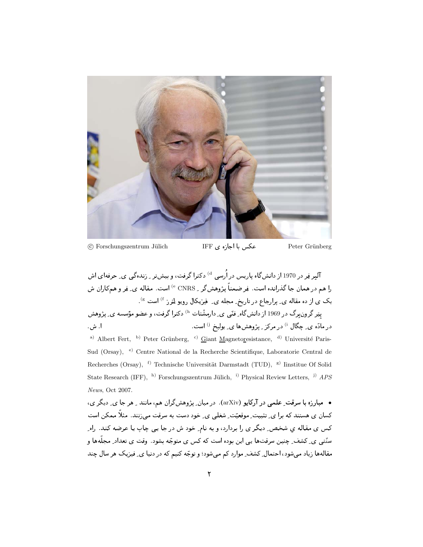

عکس یا اجازہ ی IFF © Forschungszentrum Jülich

Peter Grünberg

آلمر فِر در 1970 از دانش گاه یاریس در اُرسی <sup>d</sup> دکترا گرفت، و بیشتر <sub>- ن</sub>زندهگی ی ِ حرفهای اش .ا هم د. همان جا گذرانده است. فِر ضمناً پِژوهش گر \_ CNRS ° است. مقاله ی ِ فِر و همکاران ش یک ی از ده مقاله ی ِ یرارجاع در تاریخ ِ مجله ی ِ فیزیکال رویو لِتِرز <sup>f)</sup> است <sup>g)</sup>. یتِر گرونہرگ در 1969 از دانشگاہ ِ فنّی ی ِ دارمشْتات <sup>h)</sup> دکترا گرفت، و عضو مؤسسه ی ِ یژوهش در مادّہ ی ِ چگال <sup>i)</sup> در مرکز ِ پژوهشها ی ِ پولیخ <sup>i)</sup> است. ا. ش. <sup>a)</sup> Albert Fert, <sup>b)</sup> Peter Grünberg, <sup>c)</sup> Giant Magnetoresistance, <sup>d)</sup> Université Paris-Sud (Orsay), <sup>e)</sup> Centre National de la Recherche Scientifique, Laboratorie Central de Recherches (Orsay), <sup>f)</sup> Technische Universität Darmstadt (TUD), <sup>g)</sup> Iinstitue Of Solid

State Research (IFF), <sup>h)</sup> Forschungszentrum Jülich, <sup>i)</sup> Physical Review Letters, <sup>j)</sup>  $APS$ News, Oct 2007.

• مبارزه با سرقت ِ علمی در آرکایو (arXiv). در میان ِ پژوهشگران هم، مانند -ِ هر جا ی ِ دیگر ی، کسان ی هستند که برا ی ِ تثبیت ِ موقعیّت ِ شغلی ی ِ خود دست به سرقت می زنند. مثلاً ممکن است کس ی مقاله ی شخص ِ دیگر ی را بردارد، و به نام ِ خود ش در جا یی چاپ یا عرضه کند. راه ِ سنّتی ی ِ کشف ِ چنین سرقتها یی این بوده است که کس ی متوجّه بشود. وقت ی تعداد ِ مجلّهها و مقالهها زیاد می شود، احتمال ِ کشف ِ موارد کم می شود؛ و توجّه کنیم که در دنیا ی ِ فیزیک هر سال چند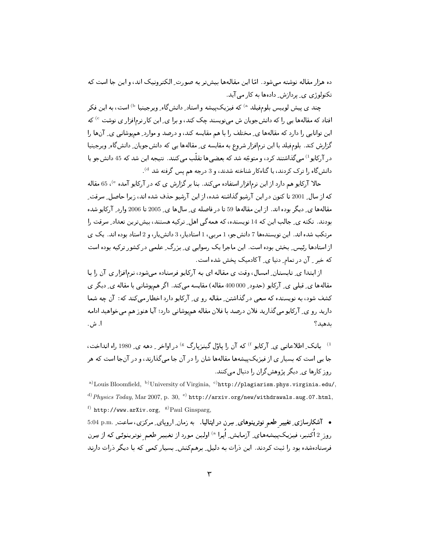ده هزار مقاله نوشته می شود. امّا این مقالهها بیشتر به صورت ِ الکترونیک اند، و این جا است که تکنولوژی ی پردازش دادهها به کار می آید.

چند ی پیش لوییس بلومفیلد <sup>۵)</sup> که فیزیکپیشه و استاد ِ دانش گاه ِ ویرجینیا <sup>b)</sup> است، به این فکر افتاد که مقالهها یی را که دانشجویان ش مینویسند چک کند، و برا ی ِ این کار نرمافزار ی نوشت <sup>0</sup> که این توانایی را دارد که مقالهها ی ِ مختلف را با هم مقایسه کند، و درصد و موارد ِ همیوشانی ی ِ آنها را گزارش کند. بلومفیلد با این نرمافزار شروع به مقایسه ی ِ مقالهها یی که دانشجویان ِ دانشگاه ِ ویرجینیا در آركايو<sup>1)</sup> مى گذاشتند كرد، و متوجّه شد كه بعضى ها تقلّب مى كنند. نتيجه اين شد كه 45 دانشجو يا دانشگاه را ترک کردند، یا گناهکار شناخته شدند، و 3 درجه هم پس گرفته شد <sup>6</sup>).

حالا آرکایو هم دارد از این نرمافزار استفاده می کند. بنا بر گزارش ی که در آرکایو آمده <sup>6</sup>)، 65 مقاله که از سال ِ 2001 تا کنون در این آرشیو گذاشته شده، از این آرشیو حذف شده اند، زیرا حاصل ِ سرقت ِ مقالهها ی ِ دیگر بوده اند. از این مقالهها 59 تا در فاصله ی ِ سالها ی ِ 2005 تا 2006 وارد ِ آرکایو شده بودند. نکته ی ِ جالب این که 14 نویسنده، که همهگی اهل ِ ترکیه هستند، بیش ِترین تعداد ِ سرقت را مرتکب شده اند. این نویسندهها 7 دانشجو، 1 مربی، 1 استادیار، 3 دانش یار، و 2 استاد بوده اند. یک ی از استادها رئیس ِ بخش بوده است. این ماجرا یک رسوایی ی ِ بزرگ ِ علمی در کشور ترکیه بوده است که خبر <sub>-</sub> آن در تمام ِ دنیا ی ِ آکادمیک یخش شده است.

از ابتدا ی ِ تابستان ِ امسال، وقت ی مقاله ای به آرکایو فرستاده می شود، نرمافزار ی آن را با مقالهها ی ِ قبلی ی ِ آرکایو (حدود 000 000 مقاله) مقایسه می کند. اگر همپوشانی با مقاله ی ِ دیگر ی کشف شود، به نویسنده که سعی در گذاشتن ِ مقاله رو ی ِ آرکایو دارد اخطار می کند که: آن چه شما دارید رو ی ِ آرکایو میگذارید فلان درصد با فلان مقاله همیوشانی دارد؛ آیا هنوز هم میخواهید ادامه ا. ش. ىدھىد؟

<sup>1)</sup> بانک ِ اطلاعاتی ی ِ آرکایو <sup>f)</sup> که آن را یاؤل گینزیارگ <sup>g)</sup> در اواخر ِ دهه ی ِ 1980 راه انداخت، جا یی است که بسیار ی از فیزیک پیشهها مقالهها شان را در آن جا می گذارند، و در آنجا است که هر روز کارها ی دیگر پژوهش گران را دنبال می کنند.

a)Louis Bloomfield,  $\overline{b}$ )University of Virginia,  $\overline{c}$ )http://plagiarism.phys.virginia.edu/, <sup>d)</sup> Physics Today, Mar 2007, p. 30, <sup>e)</sup> http://arxiv.org/new/withdrawals.aug.07.html, <sup>f)</sup> http://www.arXiv.org,  $g$ <sup>g</sup>)Paul Ginsparg,

• آشکارسازی ِ تغییر طعم نوترینوهای ِ سِرن در ایتالیا. به زمان ِ اروپای ِ مرکزی، ساعت ِ .m.p 5:04 p.m روز 2 اُکتبر، فیزیکیپشههای ِ آزمایش ِ اُیرا <sup>۵)</sup> اولین مورد از تغییر طعم نوترینوئی که از سِرن فرستادهشده بود را ثبت کردند. این ذرات به دلیل ِ برهمکنش ِ بسیار کمی که با دیگر ذرات دارند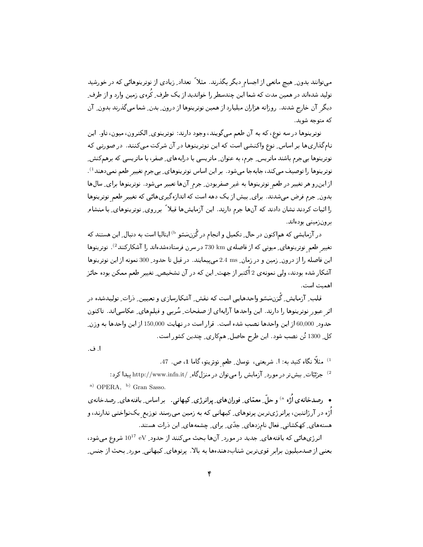می;توانند بدون ِ هیچ مانعی از اجسام دیگر بگذرند. مثلاً تعداد ِ زیادی از نوترینوهائی که در خورشید تولید شدهاند در همین مدت که شما این چندسطر را خواندید از یک طرف ِ کُرهی زمین وارد و از طرف ِ دیگر آن خارج شدند. روزانه هزاران میلیارد از همین نوترینوها از درون بدن ِ شما می گذرند بدون ِ آن که متوجه شوید.

نوترینوها در سه نوع، که به آن طعم میگویند، وجود دارند: نوترینوی ِ الکترون، میون، تاو. این نامگذاریها بر اساس ِ نوع واکنشی است که این نوترینوها در آن شرکت میکنند. در صورتی که نوترینوها بیجرم باشند ماتریس ِ جرم، به عنوان ِ ماتریسی با درایههای ِ صفر، با ماتریسی که برهمکنش ِ نوترینوها را توصیف می کند، جابهجا میشود . بر این اساس نوترینوهای ِ بیجرم تغییر طعم نمیدهند<sup>1</sup>). از این رو هر تغییر در طعم نوترینوها به غیر صفربودن ِ جرم آنها تعبیر میشود . نوترینوها برای ِ سالها بدون ِ جرم فرض می شدند. برای ِ بیش از یک دهه است که اندازهگیریهائی که تغییر طعم نوترینوها را اثبات کردند نشان دادند که آنها جرم دارند. این آزمایشها قبلا ً برروی ِ نوترینوهای ِ با منشاء ِ برونزميني بودهاند.

در آزمایشی که هم|کنون در حال ِ تکمیل و انجام در گُرَن&سَتو <sup>b)</sup> ایتالیا است به دنبال ِ این هستند که تغییر طعم نوترینوهای ِ میونی که از فاصلهی km 730 در سرن فرستادهشدهاند را آشکارکنند<sup>2)</sup>. نوترینوها اين فاصله را از درون ِ زمين و در زمان ِ 2.4 ms مي پيمايند. در قبل تا حدود ِ 300 نمونه از اين نوترينوها آشکار شده بودند، ولی نمونه ی 2 اُکتبر از جهت ِ این که در آن تشخیص ِ تغییر طعم ممکن بوده حائز اهميت است.

قلب ِ آزمایش ِ گْرَنسَسّو واحدهایی است که نقش ِ آشکارسازی و تعیین ِ ذرات ِ تولیدشده در اثر عبور نوترینوها را دارند. این واحدها آرایهای از صفحاتِ سُربی و فیلمهای ِ عکاسیاند. تاکنون حدود 60,000 از اين واحدها نصب شده است. قرار است در نهايت 150,000 از اين واحدها به وزن ِ کل ِ 1300 تُن نصب شود . این طرح حاصل ِ همکاری ِ چندین کشور است .

ا. ف.

<sup>1)</sup> مثلاً نگاه کنید به : ا. شریعتی، نوسان ِ طعم نوترینو، گاما 1، ص. 47. <sup>2)</sup> جزئیّات ِ بیش تر در مورد ِ آزمایش را میتوان در منزل گاه ِ /http://www.infn.it پیدا کرد: a) OPERA, b) Gran Sasso. • رصدخانه ی اُژه <sup>۵)</sup> و حلّ ِ معمّای ِ فورانهای ِ پرانرژی ِ کیهانی ِ بر اساس ِ یافتههای ِ رصدخانه ی اُژه در آرژانتین، پرانرژیترین پرتوهای ِ کیهانی که به زمین میرسند توزیع یکنواختی ندارند، و

هستههای ِ کهکشانی ِ فعال نامزدهای ِ جدّی ِ برای ِ چشمههای ِ این ذرات هستند. انرژیهائی که یافتههای ِ جدید در مورد ِ آنها بحث میکنند از حدود ِ eV 10 شروع میشود، یعنی از صدمیلیون برابر قویترین شتابدهندهها به بالا. پرتوهای ِ کیهانی ِ مورد ِ بحث از جنس ِ